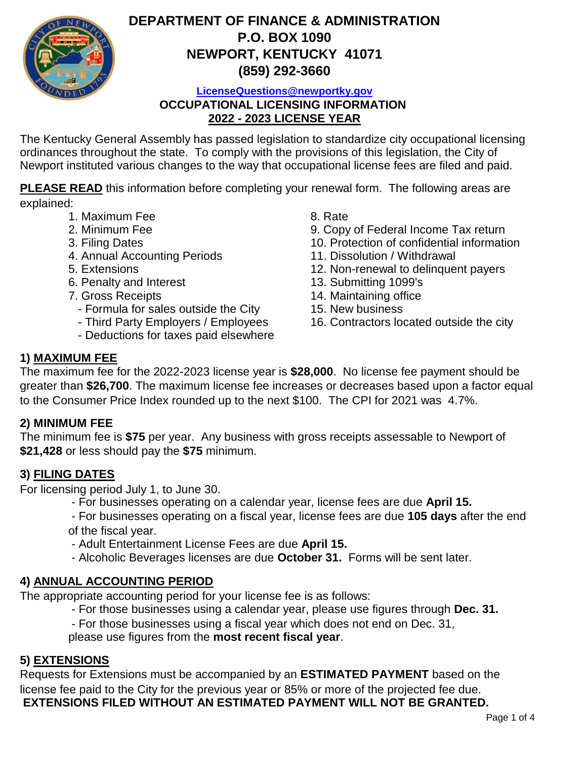

# **DEPARTMENT OF FINANCE & ADMINISTRATION P.O. BOX 1090 NEWPORT, KENTUCKY 41071 (859) 292-3660**

**LicenseQuestions@newportky.gov**

**OCCUPATIONAL LICENSING INFORMATION 2022 - 2023 LICENSE YEAR**

The Kentucky General Assembly has passed legislation to standardize city occupational licensing ordinances throughout the state. To comply with the provisions of this legislation, the City of Newport instituted various changes to the way that occupational license fees are filed and paid.

**PLEASE READ** this information before completing your renewal form. The following areas are explained:

- 1. Maximum Fee 8. Rate
- 
- 
- 4. Annual Accounting Periods 11. Dissolution / Withdrawal
- 
- 6. Penalty and Interest 13. Submitting 1099's
- - Formula for sales outside the City 15. New business
	-
	- Deductions for taxes paid elsewhere

- 2. Minimum Fee 9. Copy of Federal Income Tax return
- 3. Filing Dates 10. Protection of confidential information
	-
- 5. Extensions 12. Non-renewal to delinquent payers
	-
- 7. Gross Receipts 14. Maintaining office
	-
	- Third Party Employers / Employees 16. Contractors located outside the city

## **1) MAXIMUM FEE**

The maximum fee for the 2022-2023 license year is **\$28,000**. No license fee payment should be greater than **\$26,700**. The maximum license fee increases or decreases based upon a factor equal to the Consumer Price Index rounded up to the next \$100. The CPI for 2021 was 4.7%.

#### **2) MINIMUM FEE**

The minimum fee is **\$75** per year. Any business with gross receipts assessable to Newport of **\$21,428** or less should pay the **\$75** minimum.

### **3) FILING DATES**

For licensing period July 1, to June 30.

- For businesses operating on a calendar year, license fees are due **April 15.**
- For businesses operating on a fiscal year, license fees are due **105 days** after the end of the fiscal year.
- Adult Entertainment License Fees are due **April 15.**
- Alcoholic Beverages licenses are due **October 31.** Forms will be sent later.

### **4) ANNUAL ACCOUNTING PERIOD**

The appropriate accounting period for your license fee is as follows:

- For those businesses using a calendar year, please use figures through **Dec. 31.**
- For those businesses using a fiscal year which does not end on Dec. 31,
- please use figures from the **most recent fiscal year**.

#### **5) EXTENSIONS**

Requests for Extensions must be accompanied by an **ESTIMATED PAYMENT** based on the license fee paid to the City for the previous year or 85% or more of the projected fee due.  **EXTENSIONS FILED WITHOUT AN ESTIMATED PAYMENT WILL NOT BE GRANTED.**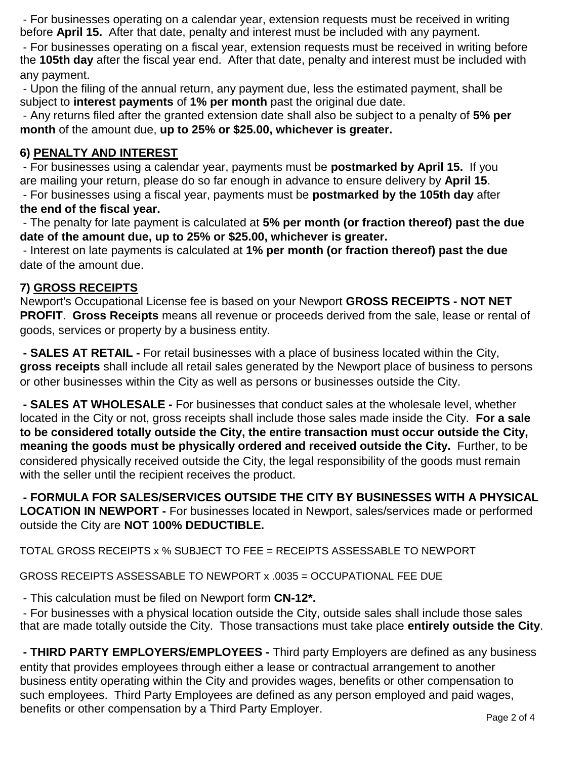- For businesses operating on a calendar year, extension requests must be received in writing before **April 15.** After that date, penalty and interest must be included with any payment.

 - For businesses operating on a fiscal year, extension requests must be received in writing before the **105th day** after the fiscal year end. After that date, penalty and interest must be included with any payment.

 - Upon the filing of the annual return, any payment due, less the estimated payment, shall be subject to **interest payments** of **1% per month** past the original due date.

 - Any returns filed after the granted extension date shall also be subject to a penalty of **5% per month** of the amount due, **up to 25% or \$25.00, whichever is greater.**

### **6) PENALTY AND INTEREST**

 - For businesses using a calendar year, payments must be **postmarked by April 15.** If you are mailing your return, please do so far enough in advance to ensure delivery by **April 15**.

 - For businesses using a fiscal year, payments must be **postmarked by the 105th day** after **the end of the fiscal year.**

 - The penalty for late payment is calculated at **5% per month (or fraction thereof) past the due date of the amount due, up to 25% or \$25.00, whichever is greater.**

 - Interest on late payments is calculated at **1% per month (or fraction thereof) past the due**  date of the amount due.

### **7) GROSS RECEIPTS**

Newport's Occupational License fee is based on your Newport **GROSS RECEIPTS - NOT NET PROFIT**. **Gross Receipts** means all revenue or proceeds derived from the sale, lease or rental of goods, services or property by a business entity.

 **- SALES AT RETAIL -** For retail businesses with a place of business located within the City, **gross receipts** shall include all retail sales generated by the Newport place of business to persons or other businesses within the City as well as persons or businesses outside the City.

 **- SALES AT WHOLESALE -** For businesses that conduct sales at the wholesale level, whether located in the City or not, gross receipts shall include those sales made inside the City. **For a sale to be considered totally outside the City, the entire transaction must occur outside the City, meaning the goods must be physically ordered and received outside the City.** Further, to be considered physically received outside the City, the legal responsibility of the goods must remain with the seller until the recipient receives the product.

 **- FORMULA FOR SALES/SERVICES OUTSIDE THE CITY BY BUSINESSES WITH A PHYSICAL LOCATION IN NEWPORT -** For businesses located in Newport, sales/services made or performed outside the City are **NOT 100% DEDUCTIBLE.**

TOTAL GROSS RECEIPTS x % SUBJECT TO FEE = RECEIPTS ASSESSABLE TO NEWPORT

GROSS RECEIPTS ASSESSABLE TO NEWPORT x .0035 = OCCUPATIONAL FEE DUE

- This calculation must be filed on Newport form **CN-12\*.**

 - For businesses with a physical location outside the City, outside sales shall include those sales that are made totally outside the City. Those transactions must take place **entirely outside the City**.

 **- THIRD PARTY EMPLOYERS/EMPLOYEES -** Third party Employers are defined as any business entity that provides employees through either a lease or contractual arrangement to another business entity operating within the City and provides wages, benefits or other compensation to such employees. Third Party Employees are defined as any person employed and paid wages, benefits or other compensation by a Third Party Employer.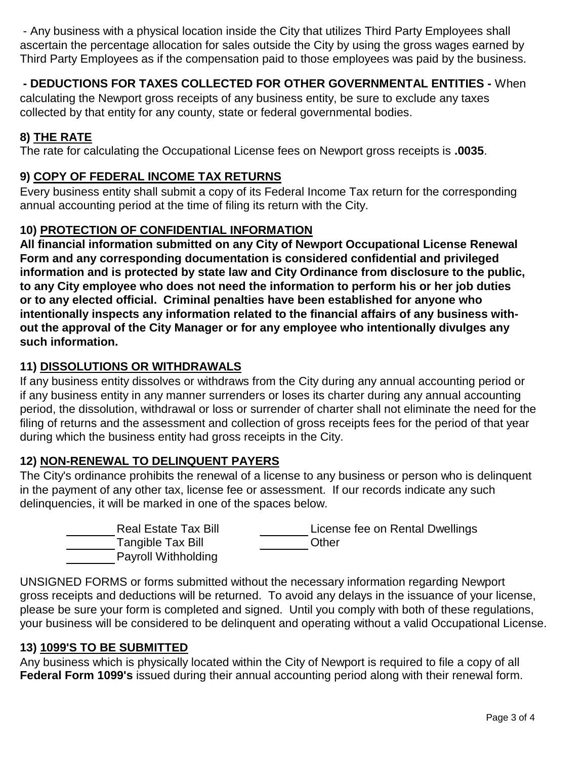- Any business with a physical location inside the City that utilizes Third Party Employees shall ascertain the percentage allocation for sales outside the City by using the gross wages earned by Third Party Employees as if the compensation paid to those employees was paid by the business.

### **- DEDUCTIONS FOR TAXES COLLECTED FOR OTHER GOVERNMENTAL ENTITIES -** When

calculating the Newport gross receipts of any business entity, be sure to exclude any taxes collected by that entity for any county, state or federal governmental bodies.

### **8) THE RATE**

The rate for calculating the Occupational License fees on Newport gross receipts is **.0035**.

#### **9) COPY OF FEDERAL INCOME TAX RETURNS**

Every business entity shall submit a copy of its Federal Income Tax return for the corresponding annual accounting period at the time of filing its return with the City.

#### **10) PROTECTION OF CONFIDENTIAL INFORMATION**

**All financial information submitted on any City of Newport Occupational License Renewal Form and any corresponding documentation is considered confidential and privileged information and is protected by state law and City Ordinance from disclosure to the public, to any City employee who does not need the information to perform his or her job duties or to any elected official. Criminal penalties have been established for anyone who intentionally inspects any information related to the financial affairs of any business without the approval of the City Manager or for any employee who intentionally divulges any such information.**

#### **11) DISSOLUTIONS OR WITHDRAWALS**

If any business entity dissolves or withdraws from the City during any annual accounting period or if any business entity in any manner surrenders or loses its charter during any annual accounting period, the dissolution, withdrawal or loss or surrender of charter shall not eliminate the need for the filing of returns and the assessment and collection of gross receipts fees for the period of that year during which the business entity had gross receipts in the City.

#### **12) NON-RENEWAL TO DELINQUENT PAYERS**

The City's ordinance prohibits the renewal of a license to any business or person who is delinquent in the payment of any other tax, license fee or assessment. If our records indicate any such delinquencies, it will be marked in one of the spaces below.

| <b>Real Estate Tax Bill</b> | License fee on Rental Dwellings |
|-----------------------------|---------------------------------|
| Tangible Tax Bill           | Other                           |
| Payroll Withholding         |                                 |

UNSIGNED FORMS or forms submitted without the necessary information regarding Newport gross receipts and deductions will be returned. To avoid any delays in the issuance of your license, please be sure your form is completed and signed. Until you comply with both of these regulations, your business will be considered to be delinquent and operating without a valid Occupational License.

#### **13) 1099'S TO BE SUBMITTED**

Any business which is physically located within the City of Newport is required to file a copy of all **Federal Form 1099's** issued during their annual accounting period along with their renewal form.